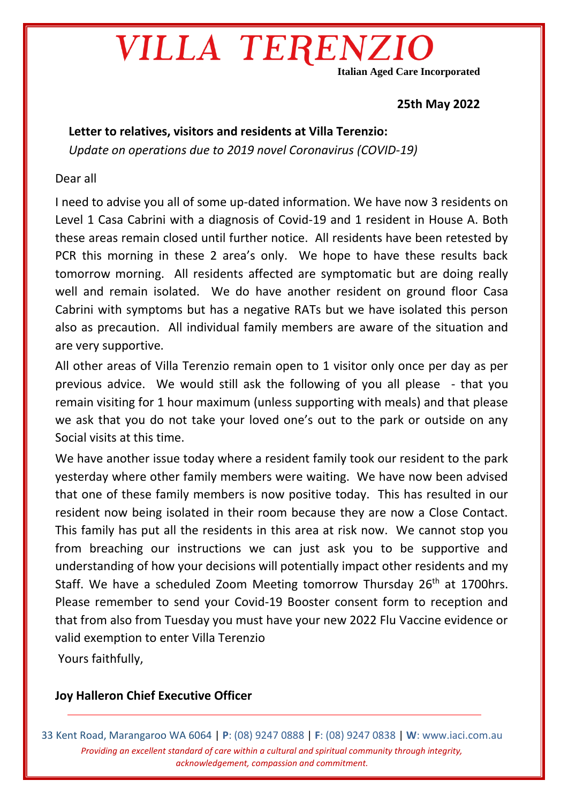## VILLA TERENZ

**Italian Aged Care Incorporated**

### **25th May 2022**

**Letter to relatives, visitors and residents at Villa Terenzio:** *Update on operations due to 2019 novel Coronavirus (COVID-19)* 

#### Dear all

I need to advise you all of some up-dated information. We have now 3 residents on Level 1 Casa Cabrini with a diagnosis of Covid-19 and 1 resident in House A. Both these areas remain closed until further notice. All residents have been retested by PCR this morning in these 2 area's only. We hope to have these results back tomorrow morning. All residents affected are symptomatic but are doing really well and remain isolated. We do have another resident on ground floor Casa Cabrini with symptoms but has a negative RATs but we have isolated this person also as precaution. All individual family members are aware of the situation and are very supportive.

All other areas of Villa Terenzio remain open to 1 visitor only once per day as per previous advice. We would still ask the following of you all please - that you remain visiting for 1 hour maximum (unless supporting with meals) and that please we ask that you do not take your loved one's out to the park or outside on any Social visits at this time.

We have another issue today where a resident family took our resident to the park yesterday where other family members were waiting. We have now been advised that one of these family members is now positive today. This has resulted in our resident now being isolated in their room because they are now a Close Contact. This family has put all the residents in this area at risk now. We cannot stop you from breaching our instructions we can just ask you to be supportive and understanding of how your decisions will potentially impact other residents and my Staff. We have a scheduled Zoom Meeting tomorrow Thursday 26<sup>th</sup> at 1700hrs. Please remember to send your Covid-19 Booster consent form to reception and that from also from Tuesday you must have your new 2022 Flu Vaccine evidence or valid exemption to enter Villa Terenzio

Yours faithfully,

### **Joy Halleron Chief Executive Officer**

33 Kent Road, Marangaroo WA 6064 | **P**: (08) 9247 0888 | **F**: (08) 9247 0838 | **W**: www.iaci.com.au *Providing an excellent standard of care within a cultural and spiritual community through integrity, acknowledgement, compassion and commitment.*